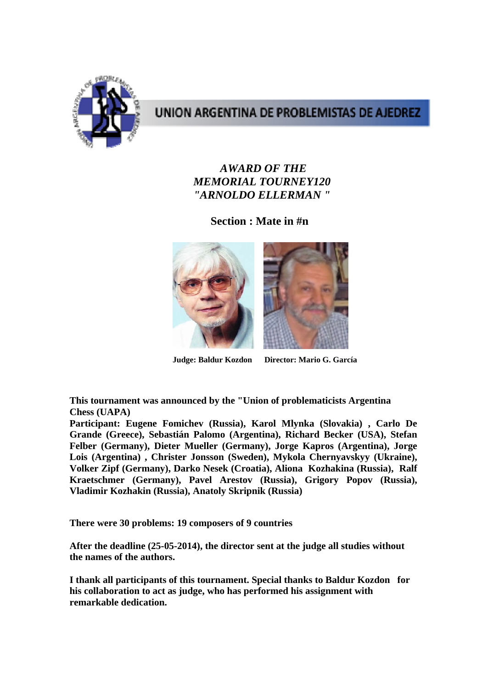

# UNION ARGENTINA DE PROBLEMISTAS DE AJEDREZ

#### *AWARD OF THE MEMORIAL TOURNEY120 "ARNOLDO ELLERMAN "*

**Section : Mate in #n** 



**Judge: Baldur Kozdon Director: Mario G. García** 

**This tournament was announced by the "Union of problematicists Argentina Chess (UAPA)** 

**Participant: Eugene Fomichev (Russia), Karol Mlynka (Slovakia) , Carlo De Grande (Greece), Sebastián Palomo (Argentina), Richard Becker (USA), Stefan Felber (Germany), Dieter Mueller (Germany), Jorge Kapros (Argentina), Jorge Lois (Argentina) , Christer Jonsson (Sweden), Mykola Chernyavskyy (Ukraine), Volker Zipf (Germany), Darko Nesek (Croatia), Aliona Kozhakina (Russia), Ralf Kraetschmer (Germany), Pavel Arestov (Russia), Grigory Popov (Russia), Vladimir Kozhakin (Russia), Anatoly Skripnik (Russia)** 

**There were 30 problems: 19 composers of 9 countries** 

**After the deadline (25-05-2014), the director sent at the judge all studies without the names of the authors.** 

**I thank all participants of this tournament. Special thanks to Baldur Kozdon for his collaboration to act as judge, who has performed his assignment with remarkable dedication.**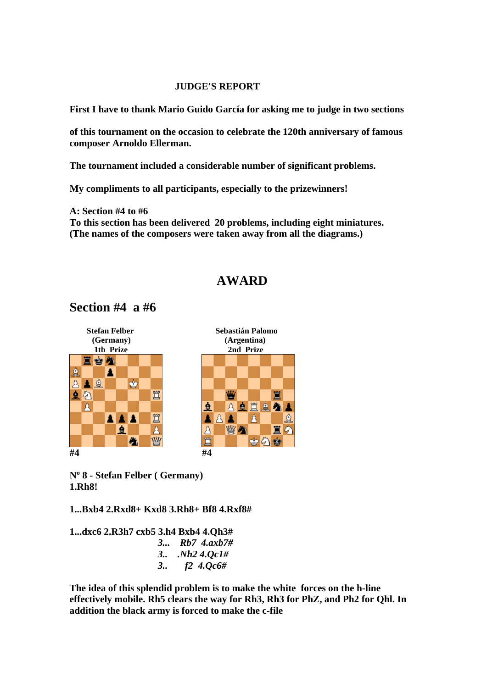#### **JUDGE'S REPORT**

**First I have to thank Mario Guido García for asking me to judge in two sections** 

**of this tournament on the occasion to celebrate the 120th anniversary of famous composer Arnoldo Ellerman.** 

**The tournament included a considerable number of significant problems.** 

**My compliments to all participants, especially to the prizewinners!** 

**A: Section #4 to #6 To this section has been delivered 20 problems, including eight miniatures. (The names of the composers were taken away from all the diagrams.)** 

## **AWARD**

## **Section #4 a #6**



**Nº 8 - Stefan Felber ( Germany) 1.Rh8!** 

**1...Bxb4 2.Rxd8+ Kxd8 3.Rh8+ Bf8 4.Rxf8#** 

**1...dxc6 2.R3h7 cxb5 3.h4 Bxb4 4.Qh3#** *3... Rb7 4.axb7# 3.. .Nh2 4.Qc1# 3.. f2 4.Qc6#* 

**The idea of this splendid problem is to make the white forces on the h-line effectively mobile. Rh5 clears the way for Rh3, Rh3 for PhZ, and Ph2 for Qhl. In addition the black army is forced to make the c-file**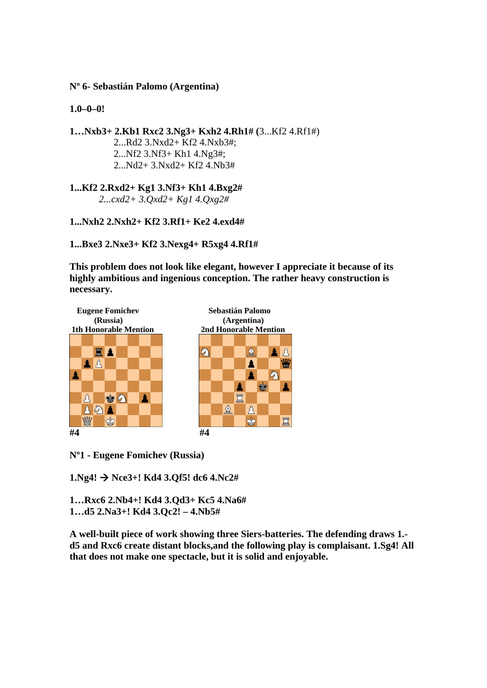**Nº 6- Sebastián Palomo (Argentina)** 

**1.0–0–0!** 

**1…Nxb3+ 2.Kb1 Rxc2 3.Ng3+ Kxh2 4.Rh1# (**3...Kf2 4.Rf1#) 2...Rd2 3.Nxd2+ Kf2 4.Nxb3#; 2...Nf2 3.Nf3+ Kh1 4.Ng3#; 2...Nd2+ 3.Nxd2+ Kf2 4.Nb3#

**1...Kf2 2.Rxd2+ Kg1 3.Nf3+ Kh1 4.Bxg2#** *2...cxd2+ 3.Qxd2+ Kg1 4.Qxg2#*

**1...Nxh2 2.Nxh2+ Kf2 3.Rf1+ Ke2 4.exd4#** 

**1...Bxe3 2.Nxe3+ Kf2 3.Nexg4+ R5xg4 4.Rf1#**

**This problem does not look like elegant, however I appreciate it because of its highly ambitious and ingenious conception. The rather heavy construction is necessary.** 



**Nº1 - Eugene Fomichev (Russia)** 

**1.Ng4! Nce3+! Kd4 3.Qf5! dc6 4.Nc2#** 

**1…Rxc6 2.Nb4+! Kd4 3.Qd3+ Kc5 4.Na6# 1…d5 2.Na3+! Kd4 3.Qc2! – 4.Nb5#** 

**A well-built piece of work showing three Siers-batteries. The defending draws 1. d5 and Rxc6 create distant blocks,and the following play is complaisant. 1.Sg4! All that does not make one spectacle, but it is solid and enjoyable.**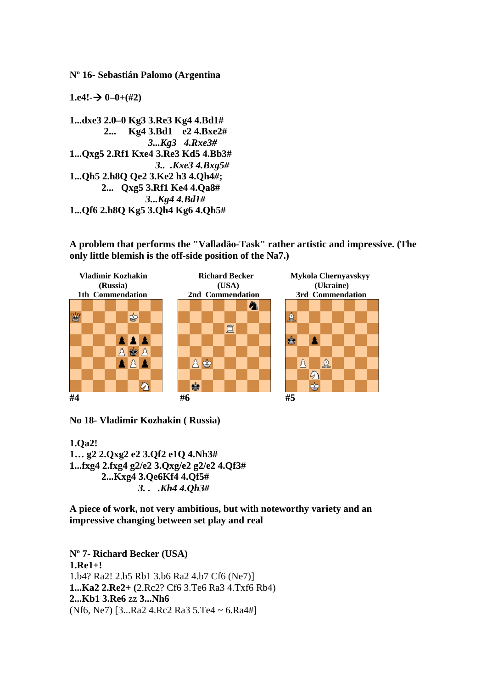**Nº 16- Sebastián Palomo (Argentina** 

 $1. e4! \rightarrow 0 - 0 + (\#2)$ 

**1...dxe3 2.0–0 Kg3 3.Re3 Kg4 4.Bd1# 2... Kg4 3.Bd1 e2 4.Bxe2#**   *3...Kg3 4.Rxe3#*  **1...Qxg5 2.Rf1 Kxe4 3.Re3 Kd5 4.Bb3#** *3.. .Kxe3 4.Bxg5#*  **1...Qh5 2.h8Q Qe2 3.Ke2 h3 4.Qh4***#***; 2... Qxg5 3.Rf1 Ke4 4.Qa8#**   *3...Kg4 4.Bd1#*  **1...Qf6 2.h8Q Kg5 3.Qh4 Kg6 4.Qh5#** 

**A problem that performs the "Valladäo-Task" rather artistic and impressive. (The only little blemish is the off-side position of the Na7.)** 



**No 18- Vladimir Kozhakin ( Russia)** 

**1.Qa2! 1… g2 2.Qxg2 e2 3.Qf2 e1Q 4.Nh3# 1...fxg4 2.fxg4 g2/e2 3.Qxg/e2 g2/e2 4.Qf3# 2...Kxg4 3.Qe6Kf4 4.Qf5#** *3. . .Kh4 4.Qh3#* 

**A piece of work, not very ambitious, but with noteworthy variety and an impressive changing between set play and real** 

**Nº 7- Richard Becker (USA) 1.Re1+!**  1.b4? Ra2! 2.b5 Rb1 3.b6 Ra2 4.b7 Cf6 (Ne7)] **1...Ka2 2.Re2+ (**2.Rc2? Cf6 3.Te6 Ra3 4.Txf6 Rb4) **2...Kb1 3.Re6** zz **3...Nh6**  (Nf6, Ne7) [3...Ra2 4.Rc2 Ra3 5.Te4 ~ 6.Ra4#]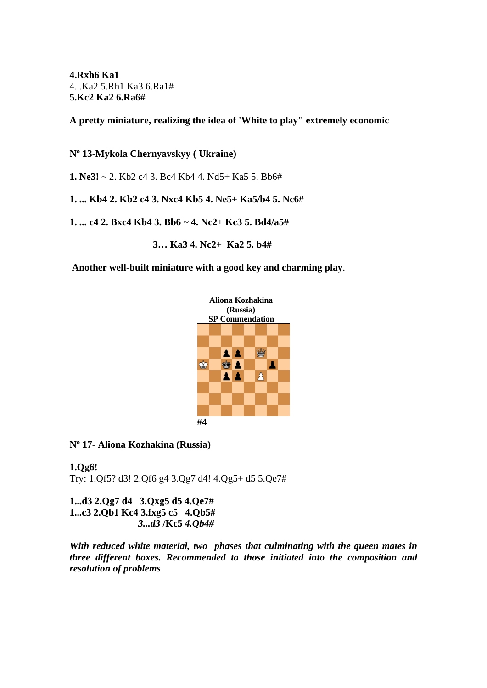**4.Rxh6 Ka1**  4...Ka2 5.Rh1 Ka3 6.Ra1# **5.Kc2 Ka2 6.Ra6#**

**A pretty miniature, realizing the idea of 'White to play" extremely economic** 

**Nº 13-Mykola Chernyavskyy ( Ukraine)** 

**1. Ne3!** ~ 2. Kb2 c4 3. Bc4 Kb4 4. Nd5+ Ka5 5. Bb6#

**1. ... Kb4 2. Kb2 c4 3. Nxc4 Kb5 4. Ne5+ Ka5/b4 5. Nc6#** 

**1. ... c4 2. Bxc4 Kb4 3. Bb6 ~ 4. Nc2+ Kc3 5. Bd4/a5#** 

 **3… Ka3 4. Nc2+ Ka2 5. b4#** 

**Another well-built miniature with a good key and charming play**.



**Nº 17- Aliona Kozhakina (Russia)** 

**1.Qg6!**  Try: 1.Qf5? d3! 2.Qf6 g4 3.Qg7 d4! 4.Qg5+ d5 5.Qe7#

**1...d3 2.Qg7 d4 3.Qxg5 d5 4.Qe7# 1...c3 2.Qb1 Kc4 3.fxg5 c5 4.Qb5#**   *3...d3* **/Kc5** *4.Qb4#* 

*With reduced white material, two phases that culminating with the queen mates in three different boxes. Recommended to those initiated into the composition and resolution of problems*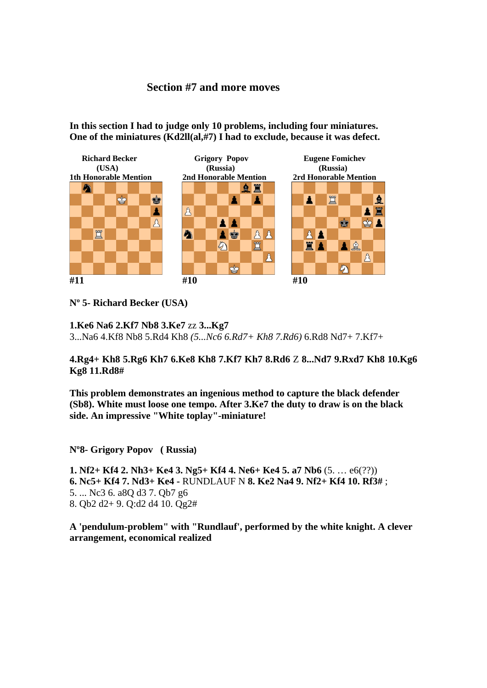#### **Section #7 and more moves**

**In this section I had to judge only 10 problems, including four miniatures. One of the miniatures (Kd2ll(al,#7) I had to exclude, because it was defect.** 



**Nº 5- Richard Becker (USA)** 

**1.Ke6 Na6 2.Kf7 Nb8 3.Ke7** zz **3...Kg7**  3...Na6 4.Kf8 Nb8 5.Rd4 Kh8 *(5...Nc6 6.Rd7+ Kh8 7.Rd6)* 6.Rd8 Nd7+ 7.Kf7+

**4.Rg4+ Kh8 5.Rg6 Kh7 6.Ke8 Kh8 7.Kf7 Kh7 8.Rd6** Z **8...Nd7 9.Rxd7 Kh8 10.Kg6 Kg8 11.Rd8#** 

**This problem demonstrates an ingenious method to capture the black defender (Sb8). White must loose one tempo. After 3.Ke7 the duty to draw is on the black side. An impressive "White toplay"-miniature!** 

**Nº8- Grigory Popov ( Russia)** 

**1. Nf2+ Kf4 2. Nh3+ Ke4 3. Ng5+ Kf4 4. Ne6+ Ke4 5. a7 Nb6** (5. … e6(??)) **6. Nc5+ Kf4 7. Nd3+ Ke4 -** RUNDLAUF N **8. Ke2 Na4 9. Nf2+ Kf4 10. Rf3#** ; 5. ... Nc3 6. a8Q d3 7. Qb7 g6 8. Qb2 d2+ 9. Q:d2 d4 10. Qg2#

**A 'pendulum-problem" with "Rundlauf', performed by the white knight. A clever arrangement, economical realized**